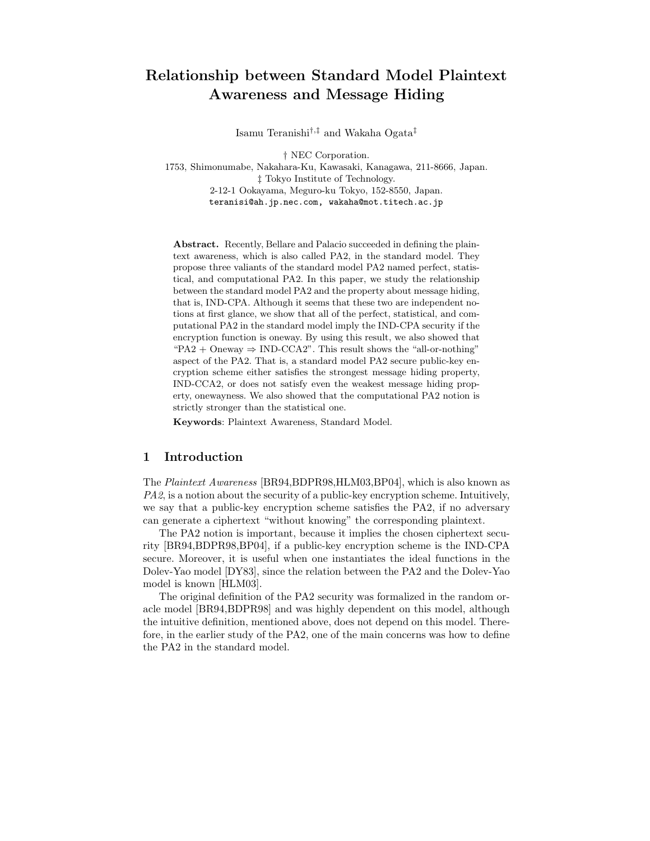# Relationship between Standard Model Plaintext Awareness and Message Hiding

Isamu Teranishi†,‡ and Wakaha Ogata‡

† NEC Corporation. 1753, Shimonumabe, Nakahara-Ku, Kawasaki, Kanagawa, 211-8666, Japan. ‡ Tokyo Institute of Technology. 2-12-1 Ookayama, Meguro-ku Tokyo, 152-8550, Japan. teranisi@ah.jp.nec.com, wakaha@mot.titech.ac.jp

Abstract. Recently, Bellare and Palacio succeeded in defining the plaintext awareness, which is also called PA2, in the standard model. They propose three valiants of the standard model PA2 named perfect, statistical, and computational PA2. In this paper, we study the relationship between the standard model PA2 and the property about message hiding, that is, IND-CPA. Although it seems that these two are independent notions at first glance, we show that all of the perfect, statistical, and computational PA2 in the standard model imply the IND-CPA security if the encryption function is oneway. By using this result, we also showed that "PA2 + Oneway  $\Rightarrow$  IND-CCA2". This result shows the "all-or-nothing" aspect of the PA2. That is, a standard model PA2 secure public-key encryption scheme either satisfies the strongest message hiding property, IND-CCA2, or does not satisfy even the weakest message hiding property, onewayness. We also showed that the computational PA2 notion is strictly stronger than the statistical one.

Keywords: Plaintext Awareness, Standard Model.

## 1 Introduction

The Plaintext Awareness [BR94,BDPR98,HLM03,BP04], which is also known as PA2, is a notion about the security of a public-key encryption scheme. Intuitively, we say that a public-key encryption scheme satisfies the PA2, if no adversary can generate a ciphertext "without knowing" the corresponding plaintext.

The PA2 notion is important, because it implies the chosen ciphertext security [BR94,BDPR98,BP04], if a public-key encryption scheme is the IND-CPA secure. Moreover, it is useful when one instantiates the ideal functions in the Dolev-Yao model [DY83], since the relation between the PA2 and the Dolev-Yao model is known [HLM03].

The original definition of the PA2 security was formalized in the random oracle model [BR94,BDPR98] and was highly dependent on this model, although the intuitive definition, mentioned above, does not depend on this model. Therefore, in the earlier study of the PA2, one of the main concerns was how to define the PA2 in the standard model.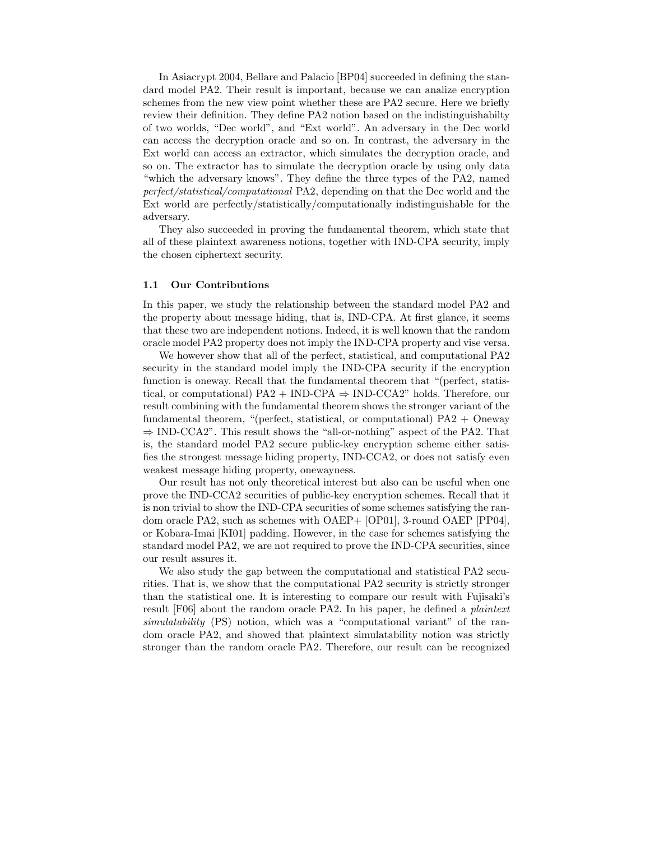In Asiacrypt 2004, Bellare and Palacio [BP04] succeeded in defining the standard model PA2. Their result is important, because we can analize encryption schemes from the new view point whether these are PA2 secure. Here we briefly review their definition. They define PA2 notion based on the indistinguishabilty of two worlds, "Dec world", and "Ext world". An adversary in the Dec world can access the decryption oracle and so on. In contrast, the adversary in the Ext world can access an extractor, which simulates the decryption oracle, and so on. The extractor has to simulate the decryption oracle by using only data "which the adversary knows". They define the three types of the PA2, named perfect/statistical/computational PA2, depending on that the Dec world and the Ext world are perfectly/statistically/computationally indistinguishable for the adversary.

They also succeeded in proving the fundamental theorem, which state that all of these plaintext awareness notions, together with IND-CPA security, imply the chosen ciphertext security.

### 1.1 Our Contributions

In this paper, we study the relationship between the standard model PA2 and the property about message hiding, that is, IND-CPA. At first glance, it seems that these two are independent notions. Indeed, it is well known that the random oracle model PA2 property does not imply the IND-CPA property and vise versa.

We however show that all of the perfect, statistical, and computational PA2 security in the standard model imply the IND-CPA security if the encryption function is oneway. Recall that the fundamental theorem that "(perfect, statistical, or computational)  $PA2 + IND-CPA \Rightarrow IND-CCA2$ " holds. Therefore, our result combining with the fundamental theorem shows the stronger variant of the fundamental theorem, "(perfect, statistical, or computational)  $PA2 +$ Oneway ⇒ IND-CCA2". This result shows the "all-or-nothing" aspect of the PA2. That is, the standard model PA2 secure public-key encryption scheme either satisfies the strongest message hiding property, IND-CCA2, or does not satisfy even weakest message hiding property, onewayness.

Our result has not only theoretical interest but also can be useful when one prove the IND-CCA2 securities of public-key encryption schemes. Recall that it is non trivial to show the IND-CPA securities of some schemes satisfying the random oracle PA2, such as schemes with OAEP+ [OP01], 3-round OAEP [PP04], or Kobara-Imai [KI01] padding. However, in the case for schemes satisfying the standard model PA2, we are not required to prove the IND-CPA securities, since our result assures it.

We also study the gap between the computational and statistical PA2 securities. That is, we show that the computational PA2 security is strictly stronger than the statistical one. It is interesting to compare our result with Fujisaki's result [F06] about the random oracle PA2. In his paper, he defined a plaintext simulatability (PS) notion, which was a "computational variant" of the random oracle PA2, and showed that plaintext simulatability notion was strictly stronger than the random oracle PA2. Therefore, our result can be recognized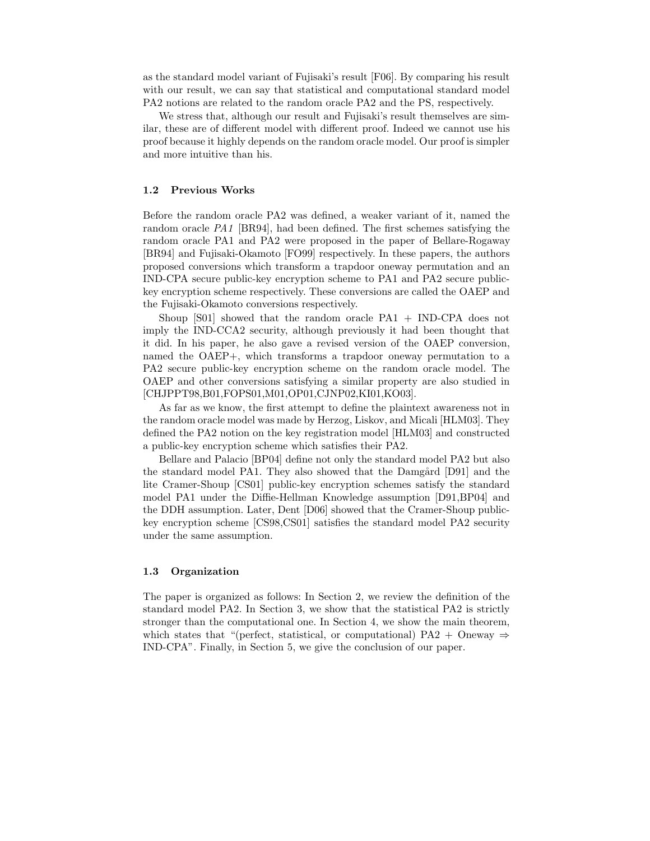as the standard model variant of Fujisaki's result [F06]. By comparing his result with our result, we can say that statistical and computational standard model PA2 notions are related to the random oracle PA2 and the PS, respectively.

We stress that, although our result and Fujisaki's result themselves are similar, these are of different model with different proof. Indeed we cannot use his proof because it highly depends on the random oracle model. Our proof is simpler and more intuitive than his.

#### 1.2 Previous Works

Before the random oracle PA2 was defined, a weaker variant of it, named the random oracle PA1 [BR94], had been defined. The first schemes satisfying the random oracle PA1 and PA2 were proposed in the paper of Bellare-Rogaway [BR94] and Fujisaki-Okamoto [FO99] respectively. In these papers, the authors proposed conversions which transform a trapdoor oneway permutation and an IND-CPA secure public-key encryption scheme to PA1 and PA2 secure publickey encryption scheme respectively. These conversions are called the OAEP and the Fujisaki-Okamoto conversions respectively.

Shoup [S01] showed that the random oracle PA1 + IND-CPA does not imply the IND-CCA2 security, although previously it had been thought that it did. In his paper, he also gave a revised version of the OAEP conversion, named the OAEP+, which transforms a trapdoor oneway permutation to a PA2 secure public-key encryption scheme on the random oracle model. The OAEP and other conversions satisfying a similar property are also studied in [CHJPPT98,B01,FOPS01,M01,OP01,CJNP02,KI01,KO03].

As far as we know, the first attempt to define the plaintext awareness not in the random oracle model was made by Herzog, Liskov, and Micali [HLM03]. They defined the PA2 notion on the key registration model [HLM03] and constructed a public-key encryption scheme which satisfies their PA2.

Bellare and Palacio [BP04] define not only the standard model PA2 but also the standard model PA1. They also showed that the Damgård [D91] and the lite Cramer-Shoup [CS01] public-key encryption schemes satisfy the standard model PA1 under the Diffie-Hellman Knowledge assumption [D91,BP04] and the DDH assumption. Later, Dent [D06] showed that the Cramer-Shoup publickey encryption scheme [CS98,CS01] satisfies the standard model PA2 security under the same assumption.

### 1.3 Organization

The paper is organized as follows: In Section 2, we review the definition of the standard model PA2. In Section 3, we show that the statistical PA2 is strictly stronger than the computational one. In Section 4, we show the main theorem, which states that "(perfect, statistical, or computational) PA2 + Oneway  $\Rightarrow$ IND-CPA". Finally, in Section 5, we give the conclusion of our paper.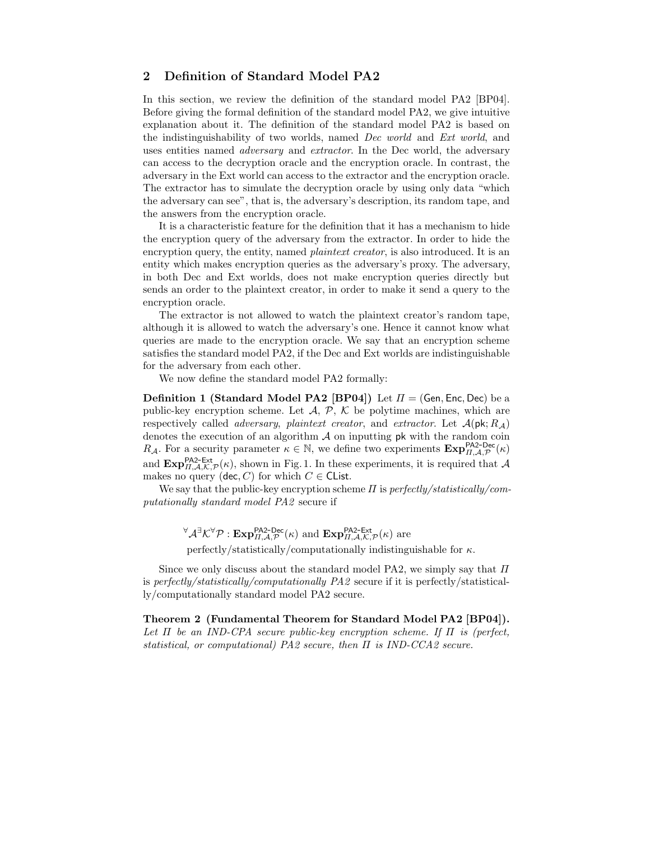# 2 Definition of Standard Model PA2

In this section, we review the definition of the standard model PA2 [BP04]. Before giving the formal definition of the standard model PA2, we give intuitive explanation about it. The definition of the standard model PA2 is based on the indistinguishability of two worlds, named Dec world and Ext world, and uses entities named *adversary* and *extractor*. In the Dec world, the adversary can access to the decryption oracle and the encryption oracle. In contrast, the adversary in the Ext world can access to the extractor and the encryption oracle. The extractor has to simulate the decryption oracle by using only data "which the adversary can see", that is, the adversary's description, its random tape, and the answers from the encryption oracle.

It is a characteristic feature for the definition that it has a mechanism to hide the encryption query of the adversary from the extractor. In order to hide the encryption query, the entity, named *plaintext creator*, is also introduced. It is an entity which makes encryption queries as the adversary's proxy. The adversary, in both Dec and Ext worlds, does not make encryption queries directly but sends an order to the plaintext creator, in order to make it send a query to the encryption oracle.

The extractor is not allowed to watch the plaintext creator's random tape, although it is allowed to watch the adversary's one. Hence it cannot know what queries are made to the encryption oracle. We say that an encryption scheme satisfies the standard model PA2, if the Dec and Ext worlds are indistinguishable for the adversary from each other.

We now define the standard model PA2 formally:

**Definition 1 (Standard Model PA2 [BP04])** Let  $\Pi = (Gen, Enc, Dec)$  be a public-key encryption scheme. Let  $\mathcal{A}, \mathcal{P}, \mathcal{K}$  be polytime machines, which are respectively called *adversary, plaintext creator*, and *extractor*. Let  $\mathcal{A}(\mathsf{pk}; R_{\mathcal{A}})$ denotes the execution of an algorithm  $A$  on inputting pk with the random coin  $R_{\mathcal{A}}$ . For a security parameter  $\kappa \in \mathbb{N}$ , we define two experiments  $\mathbf{Exp}_{H,\mathcal{A},\mathcal{P}}^{\mathsf{P}\mathsf{A2}\text{-}\mathsf{Dec}}(\kappa)$ and  $\text{Exp}_{\Pi,\mathcal{A},\mathcal{K},\mathcal{P}}^{\text{PAZ-Ext}}(\kappa)$ , shown in Fig. 1. In these experiments, it is required that  $\mathcal{A}$ makes no query (dec, C) for which  $C \in \mathsf{Cl}$  ist.

We say that the public-key encryption scheme  $\Pi$  is perfectly/statistically/computationally standard model PA2 secure if

 $\forall \mathcal{A}^{\exists} \mathcal{K}^{\forall} \mathcal{P} : \mathbf{Exp}_{\Pi,\mathcal{A},\mathcal{P}}^{\mathsf{P}\mathsf{A2\text{-}Dec}}(\kappa) \text{ and } \mathbf{Exp}_{\Pi,\mathcal{A},\mathcal{K},\mathcal{P}}^{\mathsf{P}\mathsf{A2\text{-}Ext}}(\kappa) \text{ are }$ 

perfectly/statistically/computationally indistinguishable for  $\kappa$ .

Since we only discuss about the standard model PA2, we simply say that  $\Pi$ is perfectly/statistically/computationally PA2 secure if it is perfectly/statistically/computationally standard model PA2 secure.

Theorem 2 (Fundamental Theorem for Standard Model PA2 [BP04]). Let  $\Pi$  be an IND-CPA secure public-key encryption scheme. If  $\Pi$  is (perfect, statistical, or computational) PA2 secure, then Π is IND-CCA2 secure.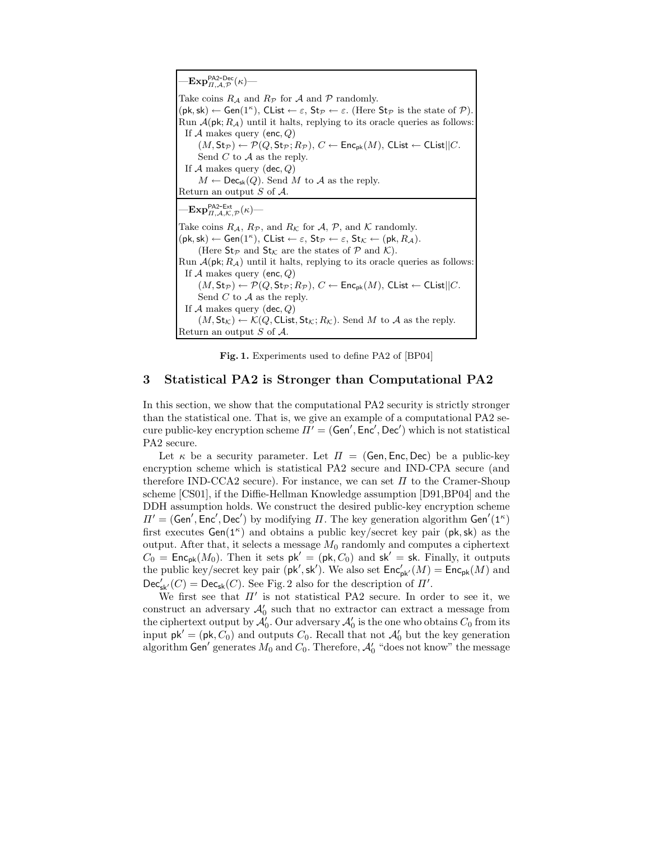$-{\mathrm{Exp}}_{II,\mathcal{A},\mathcal{P}}^{\mathsf{PA2\text{-}Dec}}(\kappa)$ — Take coins  $R_A$  and  $R_P$  for  $A$  and  $P$  randomly.  $(\mathsf{pk}, \mathsf{sk}) \leftarrow \mathsf{Gen}(1^\kappa)$ , Clist  $\leftarrow \varepsilon$ , St $\mathcal{P} \leftarrow \varepsilon$ . (Here St $\mathcal{P}$  is the state of  $\mathcal{P}$ ). Run  $\mathcal{A}(\mathsf{pk}; R_{\mathcal{A}})$  until it halts, replying to its oracle queries as follows: If  $A$  makes query (enc,  $Q$ )  $(M, \mathsf{St}_{\mathcal{P}}) \leftarrow \mathcal{P}(Q, \mathsf{St}_{\mathcal{P}}; R_{\mathcal{P}}), C \leftarrow \mathsf{Enc}_{\mathsf{pk}}(M), \mathsf{Clist} \leftarrow \mathsf{Clist} || C.$ Send  $C$  to  $A$  as the reply. If  $A$  makes query (dec,  $Q$ )  $M \leftarrow \mathsf{Dec}_{\mathsf{sk}}(Q)$ . Send M to A as the reply. Return an output  $S$  of  $A$ .  $-\mathbf{Exp}_{II,\mathcal{A},\mathcal{K},\mathcal{P}}^{\mathsf{PA2-Ext}}(\kappa)$ — Take coins  $R_{\mathcal{A}}, R_{\mathcal{P}},$  and  $R_{\mathcal{K}}$  for  $\mathcal{A}, \mathcal{P},$  and  $\mathcal{K}$  randomly.  $(\mathsf{pk}, \mathsf{sk}) \leftarrow \mathsf{Gen}(1^\kappa), \mathsf{Clist} \leftarrow \varepsilon, \mathsf{St}_{\mathcal{P}} \leftarrow \varepsilon, \mathsf{St}_{\mathcal{K}} \leftarrow (\mathsf{pk}, R_{\mathcal{A}}).$ (Here  $\mathsf{St}_{\mathcal{P}}$  and  $\mathsf{St}_{\mathcal{K}}$  are the states of  $\mathcal P$  and  $\mathcal K$ ). Run  $\mathcal{A}(\mathsf{pk}; R_{\mathcal{A}})$  until it halts, replying to its oracle queries as follows: If  $A$  makes query (enc,  $Q$ )  $(M, \mathsf{St}_{\mathcal{P}}) \leftarrow \mathcal{P}(Q, \mathsf{St}_{\mathcal{P}}; R_{\mathcal{P}}), C \leftarrow \mathsf{Enc}_{\mathsf{pk}}(M), \mathsf{Clist} \leftarrow \mathsf{Clist}||C.$ Send  $C$  to  $A$  as the reply. If  $A$  makes query (dec,  $Q$ )  $(M, St_{\mathcal{K}}) \leftarrow \mathcal{K}(Q, \text{Clist}, St_{\mathcal{K}}; R_{\mathcal{K}})$ . Send M to A as the reply. Return an output S of  $A$ .

Fig. 1. Experiments used to define PA2 of [BP04]

## 3 Statistical PA2 is Stronger than Computational PA2

In this section, we show that the computational PA2 security is strictly stronger than the statistical one. That is, we give an example of a computational PA2 secure public-key encryption scheme  $\Pi' = (\mathsf{Gen}', \mathsf{Enc}', \mathsf{Dec}')$  which is not statistical PA2 secure.

Let  $\kappa$  be a security parameter. Let  $\Pi = (\mathsf{Gen}, \mathsf{Enc}, \mathsf{Dec})$  be a public-key encryption scheme which is statistical PA2 secure and IND-CPA secure (and therefore IND-CCA2 secure). For instance, we can set  $\Pi$  to the Cramer-Shoup scheme [CS01], if the Diffie-Hellman Knowledge assumption [D91,BP04] and the DDH assumption holds. We construct the desired public-key encryption scheme  $\Pi' = (Gen', Enc', Dec')$  by modifying  $\Pi$ . The key generation algorithm Gen'(1<sup>k</sup>) first executes  $Gen(1^{\kappa})$  and obtains a public key/secret key pair (pk, sk) as the output. After that, it selects a message  $M_0$  randomly and computes a ciphertext  $C_0 = \mathsf{Enc}_{\mathsf{pk}}(M_0)$ . Then it sets  $\mathsf{pk}' = (\mathsf{pk}, C_0)$  and  $\mathsf{sk}' = \mathsf{sk}$ . Finally, it outputs the public key/secret key pair ( $\mathsf{pk}', \mathsf{sk}'$ ). We also set  $\mathsf{Enc}_{\mathsf{pk}'}(M) = \mathsf{Enc}_{\mathsf{pk}}(M)$  and  $\mathsf{Dec}_{\mathsf{sk}'}(C) = \mathsf{Dec}_{\mathsf{sk}}(C)$ . See Fig. 2 also for the description of  $\Pi'$ .

We first see that  $\Pi'$  is not statistical PA2 secure. In order to see it, we construct an adversary  $\mathcal{A}'_0$  such that no extractor can extract a message from the ciphertext output by  $\mathcal{A}'_0$ . Our adversary  $\mathcal{A}'_0$  is the one who obtains  $C_0$  from its input  $pk' = (pk, C_0)$  and outputs  $C_0$ . Recall that not  $\mathcal{A}'_0$  but the key generation algorithm Gen' generates  $M_0$  and  $C_0$ . Therefore,  $\mathcal{A}'_0$  "does not know" the message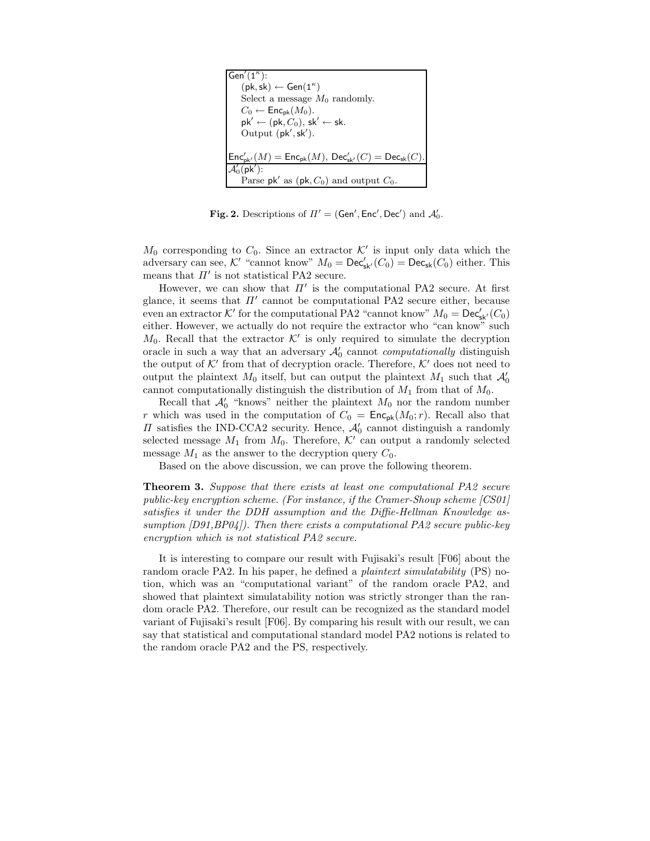| Gen'( $1^{\kappa}$ ):                                                                                                                  |
|----------------------------------------------------------------------------------------------------------------------------------------|
| $(\mathsf{pk}, \mathsf{sk}) \leftarrow \mathsf{Gen}(1^{\kappa})$                                                                       |
| Select a message $M_0$ randomly.                                                                                                       |
| $C_0 \leftarrow \mathsf{Enc}_{\sf pk}(M_0).$                                                                                           |
| $pk' \leftarrow (pk, C_0), sk' \leftarrow sk.$                                                                                         |
| Output (pk', sk').                                                                                                                     |
|                                                                                                                                        |
| $\mathsf{Enc}_{\mathsf{pk}'}'(M) = \mathsf{Enc}_{\mathsf{pk}}(M), \, \mathsf{Dec}_{\mathsf{sk}'}'(C) = \mathsf{Dec}_{\mathsf{sk}}(C).$ |
| $\mathcal{A}'_0(\mathsf{pk}')$ :                                                                                                       |
| Parse pk' as $(\mathsf{pk}, C_0)$ and output $C_0$ .                                                                                   |

Fig. 2. Descriptions of  $\Pi' = (Gen', Enc', Dec')$  and  $\mathcal{A}'_0$ .

 $M_0$  corresponding to  $C_0$ . Since an extractor  $K'$  is input only data which the adversary can see, K' "cannot know"  $M_0 = \mathsf{Dec}_{\mathsf{sk}'}(C_0) = \mathsf{Dec}_{\mathsf{sk}}(C_0)$  either. This means that  $\Pi'$  is not statistical PA2 secure.

However, we can show that  $\Pi'$  is the computational PA2 secure. At first glance, it seems that  $\Pi'$  cannot be computational PA2 secure either, because even an extractor  $K'$  for the computational PA2 "cannot know"  $M_0 = \mathsf{Dec}_{\mathsf{sk}'}'(C_0)$ either. However, we actually do not require the extractor who "can know" such  $M_0$ . Recall that the extractor  $K'$  is only required to simulate the decryption oracle in such a way that an adversary  $\mathcal{A}'_0$  cannot *computationally* distinguish the output of  $K'$  from that of decryption oracle. Therefore,  $K'$  does not need to output the plaintext  $M_0$  itself, but can output the plaintext  $M_1$  such that  $\mathcal{A}'_0$ cannot computationally distinguish the distribution of  $M_1$  from that of  $M_0$ .

Recall that  $\mathcal{A}'_0$  "knows" neither the plaintext  $M_0$  nor the random number r which was used in the computation of  $C_0 = \text{Enc}_{pk}(M_0; r)$ . Recall also that  $\Pi$  satisfies the IND-CCA2 security. Hence,  $\mathcal{A}'_0$  cannot distinguish a randomly selected message  $M_1$  from  $M_0$ . Therefore,  $\mathcal{K}'$  can output a randomly selected message  $M_1$  as the answer to the decryption query  $C_0$ .

Based on the above discussion, we can prove the following theorem.

**Theorem 3.** Suppose that there exists at least one computational PA2 secure public-key encryption scheme. (For instance, if the Cramer-Shoup scheme [CS01] satisfies it under the DDH assumption and the Diffie-Hellman Knowledge assumption  $[D91, BP04]$ . Then there exists a computational PA2 secure public-key encryption which is not statistical PA2 secure.

It is interesting to compare our result with Fujisaki's result [F06] about the random oracle PA2. In his paper, he defined a *plaintext simulatability* (PS) notion, which was an "computational variant" of the random oracle PA2, and showed that plaintext simulatability notion was strictly stronger than the random oracle PA2. Therefore, our result can be recognized as the standard model variant of Fujisaki's result [F06]. By comparing his result with our result, we can say that statistical and computational standard model PA2 notions is related to the random oracle PA2 and the PS, respectively.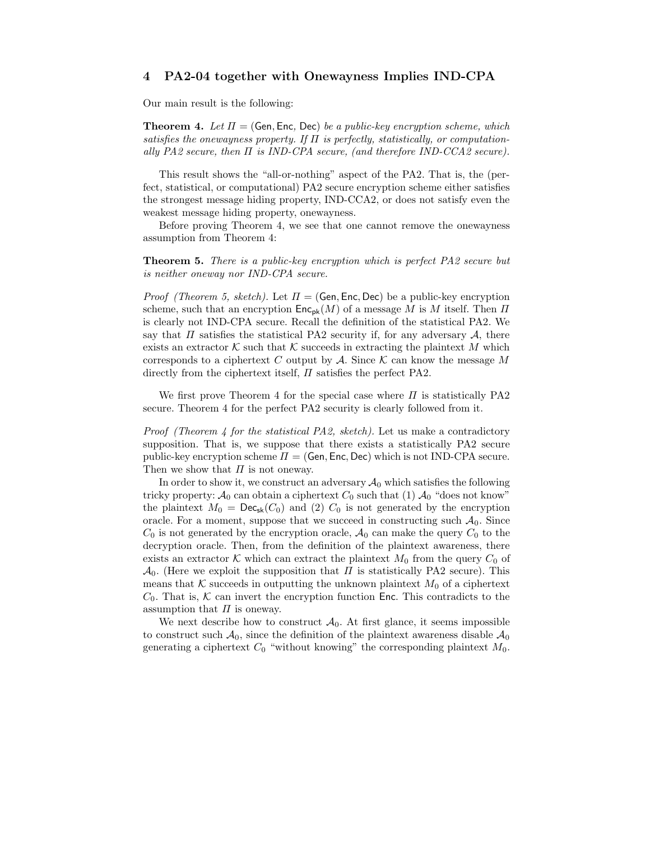## 4 PA2-04 together with Onewayness Implies IND-CPA

Our main result is the following:

**Theorem 4.** Let  $\Pi = (\mathsf{Gen}, \mathsf{Enc}, \mathsf{Dec})$  be a public-key encryption scheme, which satisfies the onewayness property. If  $\Pi$  is perfectly, statistically, or computationally PA2 secure, then  $\Pi$  is IND-CPA secure, (and therefore IND-CCA2 secure).

This result shows the "all-or-nothing" aspect of the PA2. That is, the (perfect, statistical, or computational) PA2 secure encryption scheme either satisfies the strongest message hiding property, IND-CCA2, or does not satisfy even the weakest message hiding property, onewayness.

Before proving Theorem 4, we see that one cannot remove the onewayness assumption from Theorem 4:

Theorem 5. There is a public-key encryption which is perfect PA2 secure but is neither oneway nor IND-CPA secure.

*Proof (Theorem 5, sketch).* Let  $\Pi = (Gen, Enc, Dec)$  be a public-key encryption scheme, such that an encryption  $\mathsf{Enc}_{\mathsf{pk}}(M)$  of a message M is M itself. Then  $\Pi$ is clearly not IND-CPA secure. Recall the definition of the statistical PA2. We say that  $\Pi$  satisfies the statistical PA2 security if, for any adversary  $A$ , there exists an extractor K such that K succeeds in extracting the plaintext M which corresponds to a ciphertext C output by A. Since  $K$  can know the message M directly from the ciphertext itself,  $\Pi$  satisfies the perfect PA2.

We first prove Theorem 4 for the special case where  $\Pi$  is statistically PA2 secure. Theorem 4 for the perfect PA2 security is clearly followed from it.

Proof (Theorem 4 for the statistical PA2, sketch). Let us make a contradictory supposition. That is, we suppose that there exists a statistically PA2 secure public-key encryption scheme  $\Pi = (Gen, Enc, Dec)$  which is not IND-CPA secure. Then we show that  $\Pi$  is not oneway.

In order to show it, we construct an adversary  $A_0$  which satisfies the following tricky property:  $\mathcal{A}_0$  can obtain a ciphertext  $C_0$  such that (1)  $\mathcal{A}_0$  "does not know" the plaintext  $M_0 = \text{Dec}_{sk}(C_0)$  and (2)  $C_0$  is not generated by the encryption oracle. For a moment, suppose that we succeed in constructing such  $\mathcal{A}_0$ . Since  $C_0$  is not generated by the encryption oracle,  $\mathcal{A}_0$  can make the query  $C_0$  to the decryption oracle. Then, from the definition of the plaintext awareness, there exists an extractor K which can extract the plaintext  $M_0$  from the query  $C_0$  of  $\mathcal{A}_0$ . (Here we exploit the supposition that  $\Pi$  is statistically PA2 secure). This means that K succeeds in outputting the unknown plaintext  $M_0$  of a ciphertext  $C_0$ . That is, K can invert the encryption function Enc. This contradicts to the assumption that  $\Pi$  is oneway.

We next describe how to construct  $A_0$ . At first glance, it seems impossible to construct such  $\mathcal{A}_0$ , since the definition of the plaintext awareness disable  $\mathcal{A}_0$ generating a ciphertext  $C_0$  "without knowing" the corresponding plaintext  $M_0$ .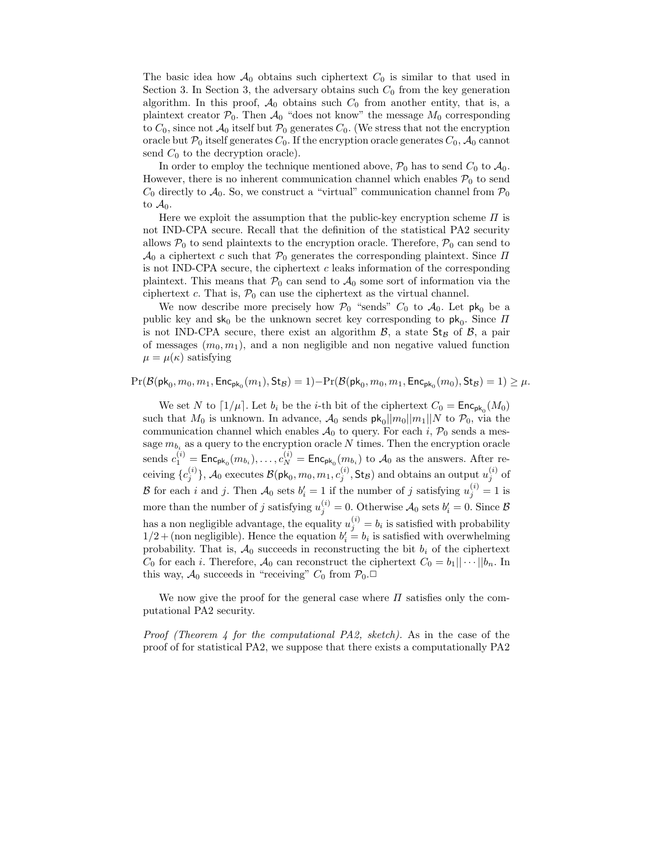The basic idea how  $\mathcal{A}_0$  obtains such ciphertext  $C_0$  is similar to that used in Section 3. In Section 3, the adversary obtains such  $C_0$  from the key generation algorithm. In this proof,  $\mathcal{A}_0$  obtains such  $C_0$  from another entity, that is, a plaintext creator  $P_0$ . Then  $\mathcal{A}_0$  "does not know" the message  $M_0$  corresponding to  $C_0$ , since not  $\mathcal{A}_0$  itself but  $\mathcal{P}_0$  generates  $C_0$ . (We stress that not the encryption oracle but  $\mathcal{P}_0$  itself generates  $C_0$ . If the encryption oracle generates  $C_0$ ,  $\mathcal{A}_0$  cannot send  $C_0$  to the decryption oracle).

In order to employ the technique mentioned above,  $\mathcal{P}_0$  has to send  $C_0$  to  $\mathcal{A}_0$ . However, there is no inherent communication channel which enables  $P_0$  to send  $C_0$  directly to  $\mathcal{A}_0$ . So, we construct a "virtual" communication channel from  $\mathcal{P}_0$ to  $\mathcal{A}_0$ .

Here we exploit the assumption that the public-key encryption scheme  $\Pi$  is not IND-CPA secure. Recall that the definition of the statistical PA2 security allows  $P_0$  to send plaintexts to the encryption oracle. Therefore,  $P_0$  can send to  $\mathcal{A}_0$  a ciphertext c such that  $\mathcal{P}_0$  generates the corresponding plaintext. Since  $\Pi$ is not IND-CPA secure, the ciphertext  $c$  leaks information of the corresponding plaintext. This means that  $\mathcal{P}_0$  can send to  $\mathcal{A}_0$  some sort of information via the ciphertext c. That is,  $P_0$  can use the ciphertext as the virtual channel.

We now describe more precisely how  $P_0$  "sends"  $C_0$  to  $\mathcal{A}_0$ . Let pk<sub>0</sub> be a public key and  $sk_0$  be the unknown secret key corresponding to  $pk_0$ . Since  $\Pi$ is not IND-CPA secure, there exist an algorithm  $\beta$ , a state  $St_B$  of  $\beta$ , a pair of messages  $(m_0, m_1)$ , and a non negligible and non negative valued function  $\mu = \mu(\kappa)$  satisfying

 $\Pr(\mathcal{B}(\mathsf{pk}_0, m_0, m_1, \mathsf{Enc}_{\mathsf{pk}_0}(m_1),\mathsf{St}_\mathcal{B}) = 1) - \Pr(\mathcal{B}(\mathsf{pk}_0, m_0, m_1, \mathsf{Enc}_{\mathsf{pk}_0}(m_0),\mathsf{St}_\mathcal{B}) = 1) \geq \mu.$ 

We set N to  $\lceil 1/\mu \rceil$ . Let  $b_i$  be the *i*-th bit of the ciphertext  $C_0 = \mathsf{Enc}_{\mathsf{pk}_0}(M_0)$ such that  $M_0$  is unknown. In advance,  $\mathcal{A}_0$  sends  $\mathsf{pk}_0||m_0||m_1||N$  to  $\mathcal{P}_0$ , via the communication channel which enables  $A_0$  to query. For each i,  $P_0$  sends a message  $m_{b_i}$  as a query to the encryption oracle N times. Then the encryption oracle sends  $c_1^{(i)} = \textsf{Enc}_{\textsf{pk}_0}(m_{b_i}), \ldots, c_N^{(i)} = \textsf{Enc}_{\textsf{pk}_0}(m_{b_i})$  to  $\mathcal{A}_0$  as the answers. After receiving  $\{c_j^{(i)}\}, \mathcal{A}_0$  executes  $\mathcal{B}(\mathsf{pk}_0, m_0, m_1, c_j^{(i)}, \mathsf{St}_\mathcal{B})$  and obtains an output  $u_j^{(i)}$  of B for each i and j. Then  $\mathcal{A}_0$  sets  $b'_i = 1$  if the number of j satisfying  $u_j^{(i)} = 1$  is more than the number of j satisfying  $u_j^{(i)} = 0$ . Otherwise  $\mathcal{A}_0$  sets  $b_i' = 0$ . Since  $\mathcal{B}$ has a non negligible advantage, the equality  $u_j^{(i)} = b_i$  is satisfied with probability  $1/2 +$  (non negligible). Hence the equation  $b_i' = b_i$  is satisfied with overwhelming probability. That is,  $A_0$  succeeds in reconstructing the bit  $b_i$  of the ciphertext  $C_0$  for each *i*. Therefore,  $\mathcal{A}_0$  can reconstruct the ciphertext  $C_0 = b_1 || \cdots || b_n$ . In this way,  $\mathcal{A}_0$  succeeds in "receiving"  $C_0$  from  $\mathcal{P}_0$ .

We now give the proof for the general case where  $\Pi$  satisfies only the computational PA2 security.

Proof (Theorem 4 for the computational PA2, sketch). As in the case of the proof of for statistical PA2, we suppose that there exists a computationally PA2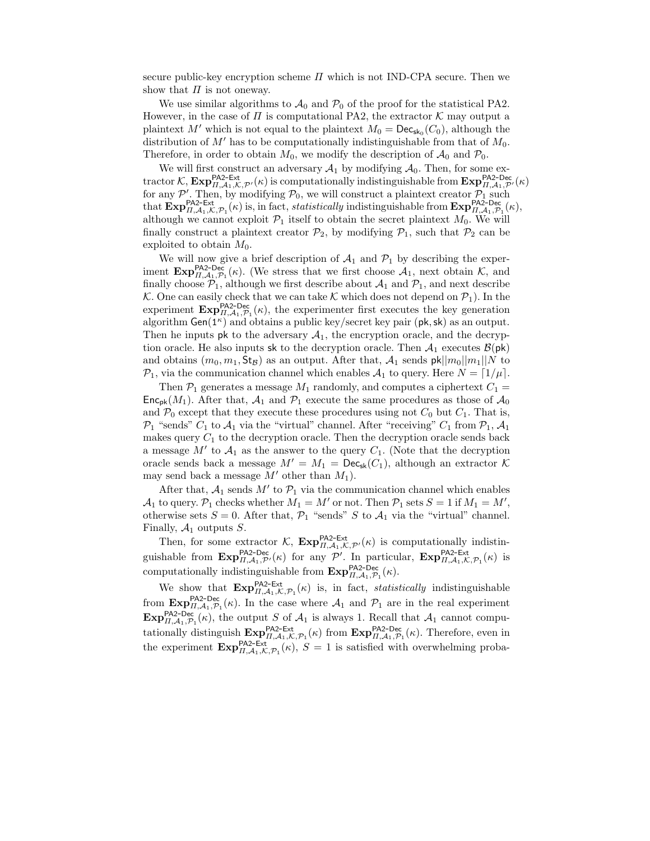secure public-key encryption scheme  $\Pi$  which is not IND-CPA secure. Then we show that  $\Pi$  is not oneway.

We use similar algorithms to  $\mathcal{A}_0$  and  $\mathcal{P}_0$  of the proof for the statistical PA2. However, in the case of  $\Pi$  is computational PA2, the extractor  $K$  may output a plaintext M' which is not equal to the plaintext  $M_0 = \mathsf{Dec}_{\mathsf{sk}_0}(C_0)$ , although the distribution of  $M'$  has to be computationally indistinguishable from that of  $M_0$ . Therefore, in order to obtain  $M_0$ , we modify the description of  $\mathcal{A}_0$  and  $\mathcal{P}_0$ .

We will first construct an adversary  $A_1$  by modifying  $A_0$ . Then, for some extractor K,  $\mathbf{Exp}_{H,\mathcal{A}_1,\mathcal{K},\mathcal{P}'}^{P\mathsf{A2-Ext}}(\kappa)$  is computationally indistinguishable from  $\mathbf{Exp}_{H,\mathcal{A}_1,\mathcal{P}'}^{P\mathsf{A2-Dec}}(\kappa)$ for any  $\mathcal{P}'$ . Then, by modifying  $\mathcal{P}_0$ , we will construct a plaintext creator  $\mathcal{P}_1$  such that  $\mathbf{Exp}_{H,\mathcal{A}_1,\mathcal{K},\mathcal{P}_1}^{\text{PAZ-Ext}}(\kappa)$  is, in fact, *statistically* indistinguishable from  $\mathbf{Exp}_{H,\mathcal{A}_1,\mathcal{$ although we cannot exploit  $\mathcal{P}_1$  itself to obtain the secret plaintext  $M_0$ . We will finally construct a plaintext creator  $\mathcal{P}_2$ , by modifying  $\mathcal{P}_1$ , such that  $\mathcal{P}_2$  can be exploited to obtain  $M_0$ .

We will now give a brief description of  $A_1$  and  $P_1$  by describing the experiment  $\mathbf{Exp}_{H,\mathcal{A}_1,\mathcal{P}_1}^{P\mathsf{A2-Pec}}(\kappa)$ . (We stress that we first choose  $A_1$ , next obtain  $\mathcal{K}$ , and finally choose  $P_1$ , although we first describe about  $A_1$  and  $P_1$ , and next describe K. One can easily check that we can take K which does not depend on  $\mathcal{P}_1$ ). In the experiment  $\mathbf{Exp}_{H,\mathcal{A}_1,\mathcal{P}_1}^{\mathsf{PA2-Dec}}(\kappa)$ , the experimenter first executes the key generation algorithm  $Gen(1^{\kappa})$  and obtains a public key/secret key pair (pk, sk) as an output. Then he inputs pk to the adversary  $A_1$ , the encryption oracle, and the decryption oracle. He also inputs sk to the decryption oracle. Then  $A_1$  executes  $\mathcal{B}(\mathsf{pk})$ and obtains  $(m_0, m_1, \text{St}_\mathcal{B})$  as an output. After that,  $\mathcal{A}_1$  sends  $\mathsf{pk}||m_0||m_1||N$  to  $\mathcal{P}_1$ , via the communication channel which enables  $\mathcal{A}_1$  to query. Here  $N = \lfloor 1/\mu \rfloor$ .

Then  $P_1$  generates a message  $M_1$  randomly, and computes a ciphertext  $C_1$  =  $\mathsf{Enc}_{\mathsf{pk}}(M_1)$ . After that,  $\mathcal{A}_1$  and  $\mathcal{P}_1$  execute the same procedures as those of  $\mathcal{A}_0$ and  $P_0$  except that they execute these procedures using not  $C_0$  but  $C_1$ . That is,  $\mathcal{P}_1$  "sends"  $C_1$  to  $\mathcal{A}_1$  via the "virtual" channel. After "receiving"  $C_1$  from  $\mathcal{P}_1$ ,  $\mathcal{A}_1$ makes query  $C_1$  to the decryption oracle. Then the decryption oracle sends back a message  $M'$  to  $\mathcal{A}_1$  as the answer to the query  $C_1$ . (Note that the decryption oracle sends back a message  $M' = M_1 = \mathsf{Dec}_{\mathsf{sk}}(C_1)$ , although an extractor K may send back a message  $M'$  other than  $M_1$ ).

After that,  $A_1$  sends  $M'$  to  $\mathcal{P}_1$  via the communication channel which enables  $\mathcal{A}_1$  to query.  $\mathcal{P}_1$  checks whether  $M_1 = M'$  or not. Then  $\mathcal{P}_1$  sets  $S = 1$  if  $M_1 = M'$ , otherwise sets  $S = 0$ . After that,  $P_1$  "sends" S to  $A_1$  via the "virtual" channel. Finally,  $A_1$  outputs S.

Then, for some extractor  $\mathcal{K}$ ,  $\mathbf{Exp}_{\Pi,\mathcal{A}_1,\mathcal{K},\mathcal{P}'}^{\mathsf{P}\mathsf{A}2\text{-Ext}}(\kappa)$  is computationally indistinguishable from  $\mathbf{Exp}_{H,\mathcal{A}_1,\mathcal{P}'}^{\mathsf{PA2-Dec}}(\kappa)$  for any  $\mathcal{P}'$ . In particular,  $\mathbf{Exp}_{H,\mathcal{A}_1,\mathcal{K},\mathcal{P}_1}^{\mathsf{PA2-Ext}}(\kappa)$  is computationally indistinguishable from  $\text{Exp}_{H,\mathcal{A}_1,\mathcal{P}_1}^{\text{PAZ-Dec}}(\kappa)$ .

We show that  $\mathbf{Exp}_{H,\mathcal{A}_1,\mathcal{K},\mathcal{P}_1}^{\mathsf{PA2-Ext}}(\kappa)$  is, in fact, *statistically* indistinguishable from  $\mathbf{Exp}_{H,\mathcal{A}_1,\mathcal{P}_1}^{\text{PAZ-Dec}}(\kappa)$ . In the case where  $\mathcal{A}_1$  and  $\mathcal{P}_1$  are in the real experiment  $\text{Exp}_{\Pi,\mathcal{A}_1,\mathcal{P}_1}^{\text{PAZ-Dec}}(\kappa)$ , the output S of  $\mathcal{A}_1$  is always 1. Recall that  $\mathcal{A}_1$  cannot computationally distinguish  $\text{Exp}_{H,A_1,\mathcal{K},\mathcal{P}_1}^{\text{PAZ-Ext}}(\kappa)$  from  $\text{Exp}_{H,A_1,\mathcal{P}_1}^{\text{PAZ-Dec}}(\kappa)$ . Therefore, even in the experiment  $\mathbf{Exp}_{H,\mathcal{A}_1,\mathcal{K},\mathcal{P}_1}^{\mathsf{P}\mathsf{A}_2-\mathsf{Ext}}(k), S = 1$  is satisfied with overwhelming proba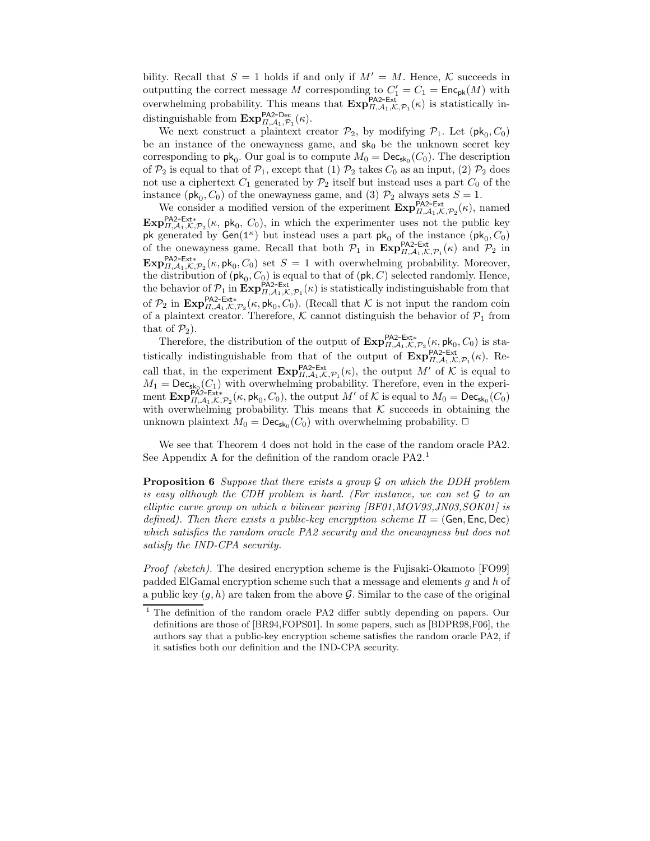bility. Recall that  $S = 1$  holds if and only if  $M' = M$ . Hence, K succeeds in outputting the correct message M corresponding to  $C_1' = C_1 = \text{Enc}_{pk}(M)$  with overwhelming probability. This means that  $\mathbf{Exp}_{H,\mathcal{A}_1,\mathcal{K},\mathcal{P}_1}^{\text{PAZ-Ext}}(\kappa)$  is statistically indistinguishable from  $\mathbf{Exp}_{\Pi,\mathcal{A}_1,\mathcal{P}_1}^{\mathsf{PA2-Dec}}(\kappa)$ .

We next construct a plaintext creator  $\mathcal{P}_2$ , by modifying  $\mathcal{P}_1$ . Let  $(\mathsf{pk}_0, C_0)$ be an instance of the onewayness game, and  $sk_0$  be the unknown secret key corresponding to  $\mathsf{pk}_0$ . Our goal is to compute  $M_0 = \mathsf{Dec}_{\mathsf{sk}_0}(C_0)$ . The description of  $\mathcal{P}_2$  is equal to that of  $\mathcal{P}_1$ , except that (1)  $\mathcal{P}_2$  takes  $C_0$  as an input, (2)  $\mathcal{P}_2$  does not use a ciphertext  $C_1$  generated by  $\mathcal{P}_2$  itself but instead uses a part  $C_0$  of the instance ( $\mathsf{pk}_0$ ,  $C_0$ ) of the onewayness game, and (3)  $\mathcal{P}_2$  always sets  $S = 1$ .

We consider a modified version of the experiment  $\mathbf{Exp}_{H,\mathcal{A}_1,\mathcal{K},\mathcal{P}_2}^{\text{PAZ-Ext}}(\kappa)$ , named  $\mathbf{Exp}_{\Pi,\mathcal{A}_1,\mathcal{K},\mathcal{P}_2}^{\mathsf{P}\mathsf{A}2\text{-}\mathsf{Ext}*}(\kappa, \mathsf{pk}_0, C_0)$ , in which the experimenter uses not the public key pk generated by  $Gen(1^{\kappa})$  but instead uses a part pk<sub>0</sub> of the instance  $(pk_0, C_0)$  of the onewayness game. Recall that both  $\mathcal{P}_1$  in  $\mathbf{Exp}_{H,\mathcal{A}_1,\mathcal{K},\mathcal{P}_1}^{PAZ-Ext}(\kappa)$  and  $\mathcal{P}_2$  in  $\text{Exp}_{\Pi,\mathcal{A}_1,\mathcal{K},\mathcal{P}_2}^{\text{PAZ-Ext*}}(\kappa,\text{pk}_0,C_0)$  set  $S=1$  with overwhelming probability. Moreover, the distribution of  $(\mathsf{pk}_0, C_0)$  is equal to that of  $(\mathsf{pk}, C)$  selected randomly. Hence, the behavior of  $\mathcal{P}_1$  in  $\mathbf{Exp}_{H,\mathcal{A}_1,\mathcal{K},\mathcal{P}_1}^{P\mathsf{A}_2-\mathsf{Ext}}(\kappa)$  is statistically indistinguishable from that of  $\mathcal{P}_2$  in  $\mathbf{Exp}_{H,\mathcal{A}_1,\mathcal{K},\mathcal{P}_2}^{\mathsf{P}\mathsf{A}_2-\mathsf{Ext}^*}(\kappa,\mathsf{pk}_0,C_0)$ . (Recall that K is not input the random coin of a plaintext creator. Therefore,  $K$  cannot distinguish the behavior of  $\mathcal{P}_1$  from that of  $\mathcal{P}_2$ ).

Therefore, the distribution of the output of  $\mathbf{Exp}_{H,\mathcal{A}_1,\mathcal{K},\mathcal{P}_2}^{\mathsf{P}\mathsf{A}_2-\mathsf{Ext} *}(\kappa,\mathsf{pk}_0,C_0)$  is statistically indistinguishable from that of the output of  $\mathbf{Exp}_{H,\mathcal{A}_1,\mathcal{K},\mathcal{P}_1}^{\mathsf{P}\mathsf{P}\mathsf{A}_2-\mathsf{Ext}}(\kappa)$ . Recall that, in the experiment  $\mathbf{Exp}_{H,\mathcal{A}_1,\mathcal{K},\mathcal{P}_1}^{\mathsf{P}\mathsf{A}2\text{-Ext}}(\kappa)$ , the output  $M'$  of  $\mathcal K$  is equal to  $M_1 = \textsf{Dec}_{\textsf{sk}_0}(C_1)$  with overwhelming probability. Therefore, even in the experiment  $\mathbf{Exp}_{H,\mathcal{A}_1,\mathcal{K},\mathcal{P}_2}^{\text{PAC-Ext}}(\kappa,\textsf{pk}_0,C_0)$ , the output M' of K is equal to  $M_0 = \textsf{Dec}_{\textsf{sk}_0}(C_0)$ with overwhelming probability. This means that  $K$  succeeds in obtaining the unknown plaintext  $M_0 = \mathsf{Dec}_{\mathsf{sk}_0}(C_0)$  with overwhelming probability.  $\Box$ 

We see that Theorem 4 does not hold in the case of the random oracle PA2. See Appendix A for the definition of the random oracle  $PA2<sup>1</sup>$ 

**Proposition 6** Suppose that there exists a group  $\mathcal G$  on which the DDH problem is easy although the CDH problem is hard. (For instance, we can set  $\mathcal G$  to an elliptic curve group on which a bilinear pairing [BF01,MOV93,JN03,SOK01] is defined). Then there exists a public-key encryption scheme  $\Pi = (Gen, Enc, Dec)$ which satisfies the random oracle PA2 security and the onewayness but does not satisfy the IND-CPA security.

Proof (sketch). The desired encryption scheme is the Fujisaki-Okamoto [FO99] padded ElGamal encryption scheme such that a message and elements g and h of a public key  $(g, h)$  are taken from the above  $\mathcal G$ . Similar to the case of the original

<sup>&</sup>lt;sup>1</sup> The definition of the random oracle PA2 differ subtly depending on papers. Our definitions are those of [BR94,FOPS01]. In some papers, such as [BDPR98,F06], the authors say that a public-key encryption scheme satisfies the random oracle PA2, if it satisfies both our definition and the IND-CPA security.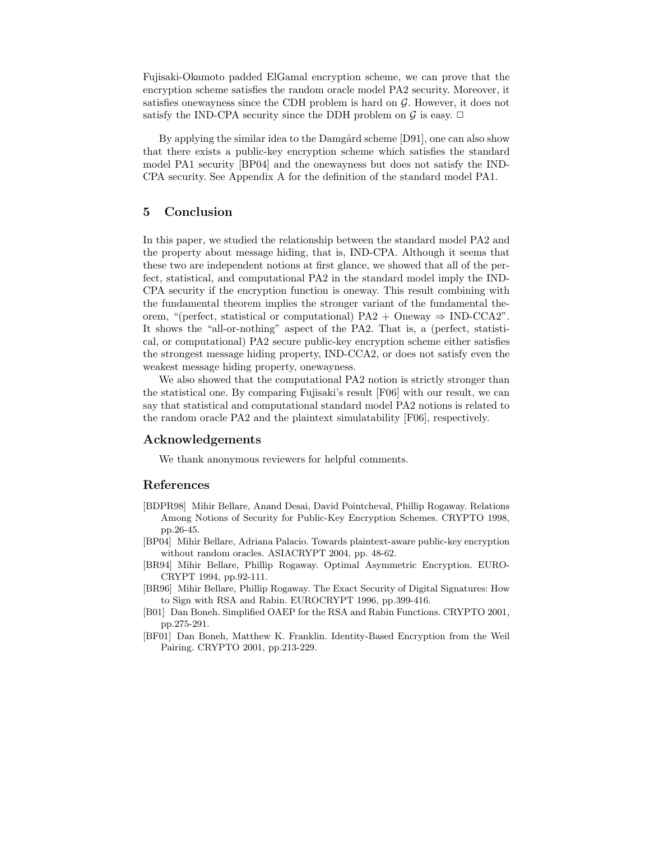Fujisaki-Okamoto padded ElGamal encryption scheme, we can prove that the encryption scheme satisfies the random oracle model PA2 security. Moreover, it satisfies onewayness since the CDH problem is hard on  $\mathcal G$ . However, it does not satisfy the IND-CPA security since the DDH problem on  $\mathcal G$  is easy.  $\Box$ 

By applying the similar idea to the Damgård scheme [D91], one can also show that there exists a public-key encryption scheme which satisfies the standard model PA1 security [BP04] and the onewayness but does not satisfy the IND-CPA security. See Appendix A for the definition of the standard model PA1.

## 5 Conclusion

In this paper, we studied the relationship between the standard model PA2 and the property about message hiding, that is, IND-CPA. Although it seems that these two are independent notions at first glance, we showed that all of the perfect, statistical, and computational PA2 in the standard model imply the IND-CPA security if the encryption function is oneway. This result combining with the fundamental theorem implies the stronger variant of the fundamental theorem, "(perfect, statistical or computational)  $PA2 +$ Oneway  $\Rightarrow$  IND-CCA2". It shows the "all-or-nothing" aspect of the PA2. That is, a (perfect, statistical, or computational) PA2 secure public-key encryption scheme either satisfies the strongest message hiding property, IND-CCA2, or does not satisfy even the weakest message hiding property, onewayness.

We also showed that the computational PA2 notion is strictly stronger than the statistical one. By comparing Fujisaki's result [F06] with our result, we can say that statistical and computational standard model PA2 notions is related to the random oracle PA2 and the plaintext simulatability [F06], respectively.

### Acknowledgements

We thank anonymous reviewers for helpful comments.

## References

- [BDPR98] Mihir Bellare, Anand Desai, David Pointcheval, Phillip Rogaway. Relations Among Notions of Security for Public-Key Encryption Schemes. CRYPTO 1998, pp.26-45.
- [BP04] Mihir Bellare, Adriana Palacio. Towards plaintext-aware public-key encryption without random oracles. ASIACRYPT 2004, pp. 48-62.
- [BR94] Mihir Bellare, Phillip Rogaway. Optimal Asymmetric Encryption. EURO-CRYPT 1994, pp.92-111.
- [BR96] Mihir Bellare, Phillip Rogaway. The Exact Security of Digital Signatures: How to Sign with RSA and Rabin. EUROCRYPT 1996, pp.399-416.
- [B01] Dan Boneh. Simplified OAEP for the RSA and Rabin Functions. CRYPTO 2001, pp.275-291.
- [BF01] Dan Boneh, Matthew K. Franklin. Identity-Based Encryption from the Weil Pairing. CRYPTO 2001, pp.213-229.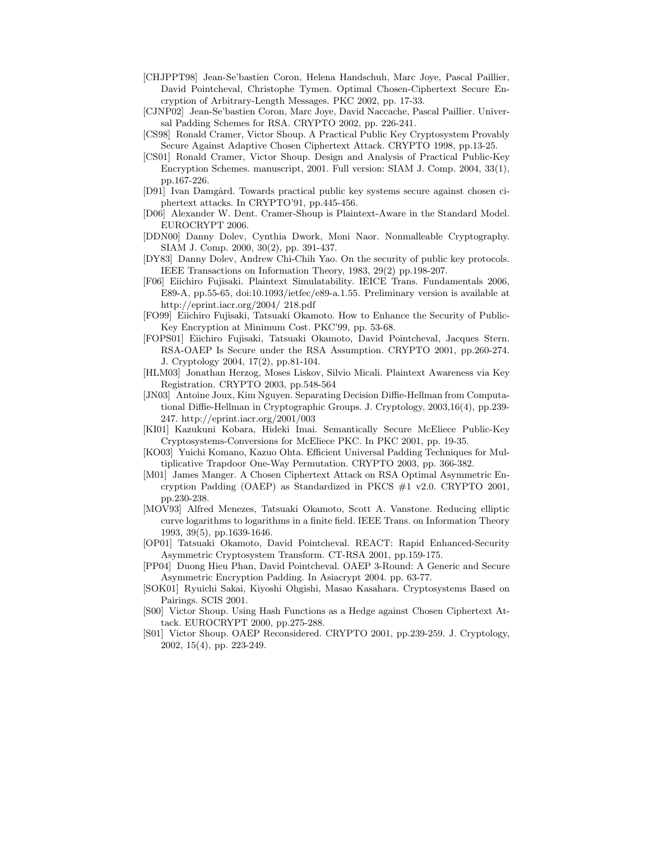- [CHJPPT98] Jean-Se'bastien Coron, Helena Handschuh, Marc Joye, Pascal Paillier, David Pointcheval, Christophe Tymen. Optimal Chosen-Ciphertext Secure Encryption of Arbitrary-Length Messages. PKC 2002, pp. 17-33.
- [CJNP02] Jean-Se'bastien Coron, Marc Joye, David Naccache, Pascal Paillier. Universal Padding Schemes for RSA. CRYPTO 2002, pp. 226-241.
- [CS98] Ronald Cramer, Victor Shoup. A Practical Public Key Cryptosystem Provably Secure Against Adaptive Chosen Ciphertext Attack. CRYPTO 1998, pp.13-25.
- [CS01] Ronald Cramer, Victor Shoup. Design and Analysis of Practical Public-Key Encryption Schemes. manuscript, 2001. Full version: SIAM J. Comp. 2004, 33(1), pp.167-226.
- [D91] Ivan Damgård. Towards practical public key systems secure against chosen ciphertext attacks. In CRYPTO'91, pp.445-456.
- [D06] Alexander W. Dent. Cramer-Shoup is Plaintext-Aware in the Standard Model. EUROCRYPT 2006.
- [DDN00] Danny Dolev, Cynthia Dwork, Moni Naor. Nonmalleable Cryptography. SIAM J. Comp. 2000, 30(2), pp. 391-437.
- [DY83] Danny Dolev, Andrew Chi-Chih Yao. On the security of public key protocols. IEEE Transactions on Information Theory, 1983, 29(2) pp.198-207.
- [F06] Eiichiro Fujisaki. Plaintext Simulatability. IEICE Trans. Fundamentals 2006, E89-A, pp.55-65, doi:10.1093/ietfec/e89-a.1.55. Preliminary version is available at http://eprint.iacr.org/2004/ 218.pdf
- [FO99] Eiichiro Fujisaki, Tatsuaki Okamoto. How to Enhance the Security of Public-Key Encryption at Minimum Cost. PKC'99, pp. 53-68.
- [FOPS01] Eiichiro Fujisaki, Tatsuaki Okamoto, David Pointcheval, Jacques Stern. RSA-OAEP Is Secure under the RSA Assumption. CRYPTO 2001, pp.260-274. J. Cryptology 2004, 17(2), pp.81-104.
- [HLM03] Jonathan Herzog, Moses Liskov, Silvio Micali. Plaintext Awareness via Key Registration. CRYPTO 2003, pp.548-564
- [JN03] Antoine Joux, Kim Nguyen. Separating Decision Diffie-Hellman from Computational Diffie-Hellman in Cryptographic Groups. J. Cryptology, 2003,16(4), pp.239- 247. http://eprint.iacr.org/2001/003
- [KI01] Kazukuni Kobara, Hideki Imai. Semantically Secure McEliece Public-Key Cryptosystems-Conversions for McEliece PKC. In PKC 2001, pp. 19-35.
- [KO03] Yuichi Komano, Kazuo Ohta. Efficient Universal Padding Techniques for Multiplicative Trapdoor One-Way Permutation. CRYPTO 2003, pp. 366-382.
- [M01] James Manger. A Chosen Ciphertext Attack on RSA Optimal Asymmetric Encryption Padding (OAEP) as Standardized in PKCS  $\#1$  v2.0. CRYPTO 2001, pp.230-238.
- [MOV93] Alfred Menezes, Tatsuaki Okamoto, Scott A. Vanstone. Reducing elliptic curve logarithms to logarithms in a finite field. IEEE Trans. on Information Theory 1993, 39(5), pp.1639-1646.
- [OP01] Tatsuaki Okamoto, David Pointcheval. REACT: Rapid Enhanced-Security Asymmetric Cryptosystem Transform. CT-RSA 2001, pp.159-175.
- [PP04] Duong Hieu Phan, David Pointcheval. OAEP 3-Round: A Generic and Secure Asymmetric Encryption Padding. In Asiacrypt 2004. pp. 63-77.
- [SOK01] Ryuichi Sakai, Kiyoshi Ohgishi, Masao Kasahara. Cryptosystems Based on Pairings. SCIS 2001.
- [S00] Victor Shoup. Using Hash Functions as a Hedge against Chosen Ciphertext Attack. EUROCRYPT 2000, pp.275-288.
- [S01] Victor Shoup. OAEP Reconsidered. CRYPTO 2001, pp.239-259. J. Cryptology, 2002, 15(4), pp. 223-249.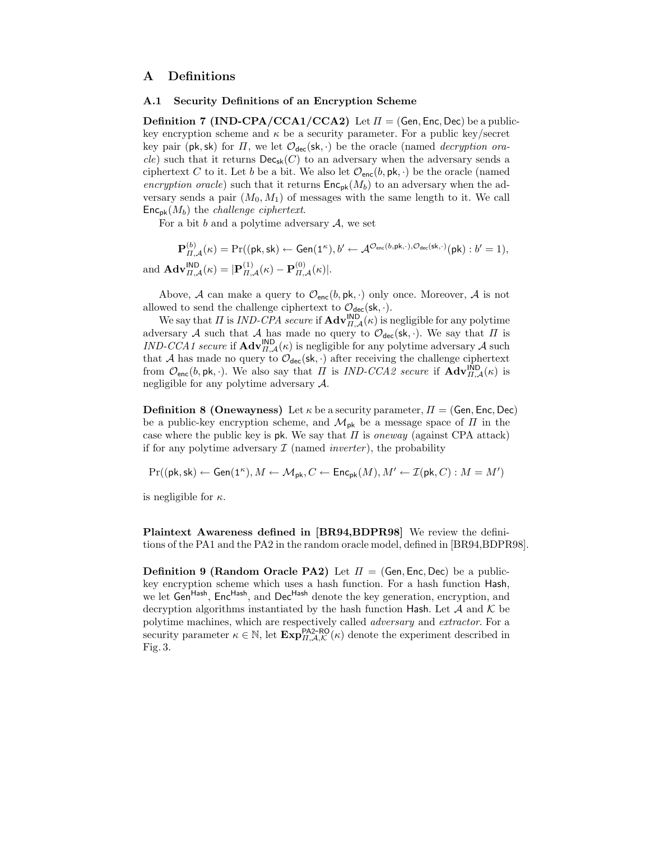# A Definitions

### A.1 Security Definitions of an Encryption Scheme

**Definition 7 (IND-CPA/CCA1/CCA2)** Let  $\Pi = (Gen, Enc, Dec)$  be a publickey encryption scheme and  $\kappa$  be a security parameter. For a public key/secret key pair (pk, sk) for  $\Pi$ , we let  $\mathcal{O}_{\text{dec}}(\textbf{sk}, \cdot)$  be the oracle (named *decryption ora*cle) such that it returns  $\mathsf{Dec}_{\mathsf{sk}}(C)$  to an adversary when the adversary sends a ciphertext C to it. Let b be a bit. We also let  $\mathcal{O}_{\text{enc}}(b, \text{pk}, \cdot)$  be the oracle (named encryption oracle) such that it returns  $\mathsf{Enc}_{\mathsf{pk}}(M_b)$  to an adversary when the adversary sends a pair  $(M_0, M_1)$  of messages with the same length to it. We call  $\mathsf{Enc}_{\mathsf{pk}}(M_b)$  the *challenge ciphertext*.

For a bit b and a polytime adversary  $A$ , we set

 $\mathbf{P}_{\Pi,\mathcal{A}}^{(b)}(\kappa)=\Pr((\mathsf{pk},\mathsf{sk}) \leftarrow \mathsf{Gen}(1^{\kappa}), b^{\prime} \leftarrow \mathcal{A}^{\mathcal{O}_{\mathsf{enc}}(b,\mathsf{pk},\cdot),\mathcal{O}_{\mathsf{dec}}(\mathsf{sk},\cdot)}(\mathsf{pk}):b^{\prime}=1),$ and  $\mathbf{Adv}_{\Pi,\mathcal{A}}^{\mathsf{IND}}(\kappa) = |\mathbf{P}_{\Pi,\mathcal{A}}^{(1)}(\kappa) - \mathbf{P}_{\Pi,\mathcal{A}}^{(0)}(\kappa)|.$ 

Above, A can make a query to  $\mathcal{O}_{\text{enc}}(b, \text{pk}, \cdot)$  only once. Moreover, A is not allowed to send the challenge ciphertext to  $\mathcal{O}_{\text{dec}}(\text{sk}, \cdot)$ .

We say that  $\Pi$  is *IND-CPA secure* if  $\mathbf{Adv}_{\Pi,\mathcal{A}}^{\mathsf{IND}}(\kappa)$  is negligible for any polytime adversary A such that A has made no query to  $\mathcal{O}_{\text{dec}}(\mathsf{sk},\cdot)$ . We say that  $\Pi$  is IND-CCA1 secure if  $\mathbf{Adv}_{\Pi,\mathcal{A}}^{\mathsf{IND}}(\kappa)$  is negligible for any polytime adversary A such that A has made no query to  $\mathcal{O}_{\text{dec}}(\textbf{sk}, \cdot)$  after receiving the challenge ciphertext from  $\mathcal{O}_{\mathsf{enc}}(b, \mathsf{pk}, \cdot)$ . We also say that  $\Pi$  is *IND-CCA2 secure* if  $\mathbf{Adv}_{\Pi,\mathcal{A}}^{\mathsf{IND}}(\kappa)$  is negligible for any polytime adversary A.

**Definition 8 (Onewayness)** Let  $\kappa$  be a security parameter,  $\Pi = (\mathsf{Gen}, \mathsf{Enc}, \mathsf{Dec})$ be a public-key encryption scheme, and  $\mathcal{M}_{\rm pk}$  be a message space of  $\Pi$  in the case where the public key is pk. We say that  $\Pi$  is oneway (against CPA attack) if for any polytime adversary  $\mathcal I$  (named *inverter*), the probability

$$
\Pr((\mathsf{pk},\mathsf{sk}) \leftarrow \mathsf{Gen}(1^\kappa), M \leftarrow \mathcal{M}_{\mathsf{pk}}, C \leftarrow \mathsf{Enc}_{\mathsf{pk}}(M), M' \leftarrow \mathcal{I}(\mathsf{pk},C): M = M')
$$

is negligible for  $\kappa$ .

Plaintext Awareness defined in [BR94,BDPR98] We review the definitions of the PA1 and the PA2 in the random oracle model, defined in [BR94,BDPR98].

**Definition 9 (Random Oracle PA2)** Let  $\Pi = (Gen, Enc, Dec)$  be a publickey encryption scheme which uses a hash function. For a hash function Hash, we let Gen<sup>Hash</sup>, Enc<sup>Hash</sup>, and Dec<sup>Hash</sup> denote the key generation, encryption, and decryption algorithms instantiated by the hash function Hash. Let  $A$  and  $K$  be polytime machines, which are respectively called adversary and extractor. For a security parameter  $\kappa \in \mathbb{N}$ , let  $\mathbf{Exp}_{H,\mathcal{A},\mathcal{K}}^{\mathsf{P} \mathsf{A2\text{-}RO}}(\kappa)$  denote the experiment described in Fig. 3.